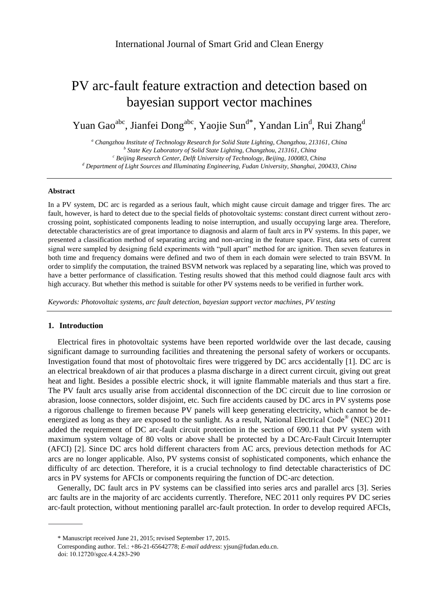# PV arc-fault feature extraction and detection based on bayesian support vector machines

Yuan Gao<sup>abc</sup>, Jianfei Dong<sup>abc</sup>, Yaojie Sun<sup>d\*</sup>, Yandan Lin<sup>d</sup>, Rui Zhang<sup>d</sup>

*<sup>a</sup> Changzhou Institute of Technology Research for Solid State Lighting, Changzhou, 213161, China b State Key Laboratory of Solid State Lighting, Changzhou, 213161, China <sup>c</sup> Beijing Research Center, Delft University of Technology, Beijing, 100083, China <sup>d</sup> Department of Light Sources and Illuminating Engineering, Fudan University, Shanghai, 200433, China*

#### **Abstract**

In a PV system, DC arc is regarded as a serious fault, which might cause circuit damage and trigger fires. The arc fault, however, is hard to detect due to the special fields of photovoltaic systems: constant direct current without zerocrossing point, sophisticated components leading to noise interruption, and usually occupying large area. Therefore, detectable characteristics are of great importance to diagnosis and alarm of fault arcs in PV systems. In this paper, we presented a classification method of separating arcing and non-arcing in the feature space. First, data sets of current signal were sampled by designing field experiments with "pull apart" method for arc ignition. Then seven features in both time and frequency domains were defined and two of them in each domain were selected to train BSVM. In order to simplify the computation, the trained BSVM network was replaced by a separating line, which was proved to have a better performance of classification. Testing results showed that this method could diagnose fault arcs with high accuracy. But whether this method is suitable for other PV systems needs to be verified in further work.

*Keywords: Photovoltaic systems, arc fault detection, bayesian support vector machines, PV testing*

## **1. Introduction**

Electrical fires in photovoltaic systems have been reported worldwide over the last decade, causing significant damage to surrounding facilities and threatening the personal safety of workers or occupants. Investigation found that most of photovoltaic fires were triggered by DC arcs accidentally [1]. DC arc is an electrical breakdown of air that produces a plasma discharge in a direct current circuit, giving out great heat and light. Besides a possible electric shock, it will ignite flammable materials and thus start a fire. The PV fault arcs usually arise from accidental disconnection of the DC circuit due to line corrosion or abrasion, loose connectors, solder disjoint, etc. Such fire accidents caused by DC arcs in PV systems pose a rigorous challenge to firemen because PV panels will keep generating electricity, which cannot be deenergized as long as they are exposed to the sunlight. As a result, National Electrical Code<sup>®</sup> (NEC) 2011 added the requirement of DC arc-fault circuit protection in the section of 690.11 that PV system with maximum system voltage of 80 volts or above shall be protected by a DC Arc-Fault Circuit Interrupter (AFCI) [2]. Since DC arcs hold different characters from AC arcs, previous detection methods for AC arcs are no longer applicable. Also, PV systems consist of sophisticated components, which enhance the difficulty of arc detection. Therefore, it is a crucial technology to find detectable characteristics of DC arcs in PV systems for AFCIs or components requiring the function of DC-arc detection.

Generally, DC fault arcs in PV systems can be classified into series arcs and parallel arcs [3]. Series arc faults are in the majority of arc accidents currently. Therefore, NEC 2011 only requires PV DC series arc-fault protection, without mentioning parallel arc-fault protection. In order to develop required AFCIs,

doi: 10.12720/sgce.4.4.283-290

<sup>\*</sup> Manuscript received June 21, 2015; revised September 17, 2015. .

Corresponding author. Tel.: +86-21-65642778; *E-mail address*[: yjsun@fudan.edu.cn.](mailto:yjsun@fudan.edu.cn)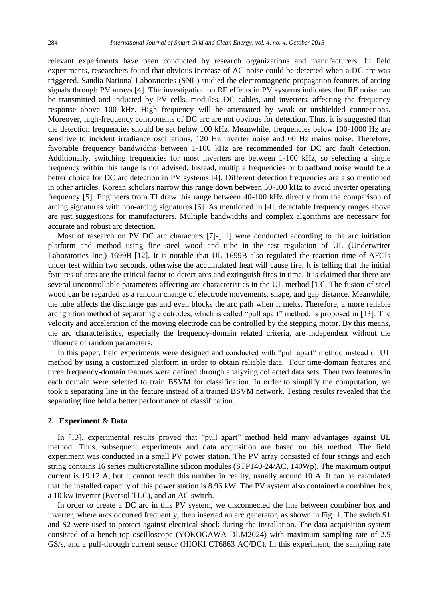relevant experiments have been conducted by research organizations and manufacturers. In field experiments, researchers found that obvious increase of AC noise could be detected when a DC arc was triggered. Sandia National Laboratories (SNL) studied the electromagnetic propagation features of arcing signals through PV arrays [4]. The investigation on RF effects in PV systems indicates that RF noise can be transmitted and inducted by PV cells, modules, DC cables, and inverters, affecting the frequency response above 100 kHz. High frequency will be attenuated by weak or unshielded connections. Moreover, high-frequency components of DC arc are not obvious for detection. Thus, it is suggested that the detection frequencies should be set below 100 kHz. Meanwhile, frequencies below 100-1000 Hz are sensitive to incident irradiance oscillations, 120 Hz inverter noise and 60 Hz mains noise. Therefore, favorable frequency bandwidths between 1-100 kHz are recommended for DC arc fault detection. Additionally, switching frequencies for most inverters are between 1-100 kHz, so selecting a single frequency within this range is not advised. Instead, multiple frequencies or broadband noise would be a better choice for DC arc detection in PV systems [4]. Different detection frequencies are also mentioned in other articles. Korean scholars narrow this range down between 50-100 kHz to avoid inverter operating frequency [5]. Engineers from TI draw this range between 40-100 kHz directly from the comparison of arcing signatures with non-arcing signatures [6]. As mentioned in [4], detectable frequency ranges above are just suggestions for manufacturers. Multiple bandwidths and complex algorithms are necessary for accurate and robust arc detection.

Most of research on PV DC arc characters [7]-[11] were conducted according to the arc initiation platform and method using fine steel wood and tube in the test regulation of UL (Underwriter Laboratories Inc.) 1699B [12]. It is notable that UL 1699B also regulated the reaction time of AFCIs under test within two seconds, otherwise the accumulated heat will cause fire. It is telling that the initial features of arcs are the critical factor to detect arcs and extinguish fires in time. It is claimed that there are several uncontrollable parameters affecting arc characteristics in the UL method [13]. The fusion of steel wood can be regarded as a random change of electrode movements, shape, and gap distance. Meanwhile, the tube affects the discharge gas and even blocks the arc path when it melts. Therefore, a more reliable arc ignition method of separating electrodes, which is called "pull apart" method, is proposed in [13]. The velocity and acceleration of the moving electrode can be controlled by the stepping motor. By this means, the arc characteristics, especially the frequency-domain related criteria, are independent without the influence of random parameters.

In this paper, field experiments were designed and conducted with "pull apart" method instead of UL method by using a customized platform in order to obtain reliable data. Four time-domain features and three frequency-domain features were defined through analyzing collected data sets. Then two features in each domain were selected to train BSVM for classification. In order to simplify the computation, we took a separating line in the feature instead of a trained BSVM network. Testing results revealed that the separating line held a better performance of classification.

#### **2. Experiment & Data**

In [13], experimental results proved that "pull apart" method held many advantages against UL method. Thus, subsequent experiments and data acquisition are based on this method. The field experiment was conducted in a small PV power station. The PV array consisted of four strings and each string contains 16 series multicrystalline silicon modules (STP140-24/AC, 140Wp). The maximum output current is 19.12 A, but it cannot reach this number in reality, usually around 10 A. It can be calculated that the installed capacity of this power station is 8.96 kW. The PV system also contained a combiner box, a 10 kw inverter (Eversol-TLC), and an AC switch.

In order to create a DC arc in this PV system, we disconnected the line between combiner box and inverter, where arcs occurred frequently, then inserted an arc generator, as shown in Fig. 1. The switch S1 and S2 were used to protect against electrical shock during the installation. The data acquisition system consisted of a bench-top oscilloscope (YOKOGAWA DLM2024) with maximum sampling rate of 2.5 GS/s, and a pull-through current sensor (HIOKI CT6863 AC/DC). In this experiment, the sampling rate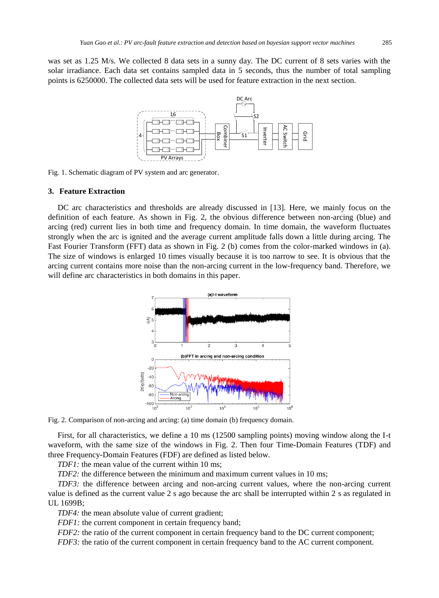was set as 1.25 M/s. We collected 8 data sets in a sunny day. The DC current of 8 sets varies with the solar irradiance. Each data set contains sampled data in 5 seconds, thus the number of total sampling points is 6250000. The collected data sets will be used for feature extraction in the next section.



Fig. 1. Schematic diagram of PV system and arc generator.

#### **3. Feature Extraction**

DC arc characteristics and thresholds are already discussed in [13]. Here, we mainly focus on the definition of each feature. As shown in Fig. 2, the obvious difference between non-arcing (blue) and arcing (red) current lies in both time and frequency domain. In time domain, the waveform fluctuates strongly when the arc is ignited and the average current amplitude falls down a little during arcing. The Fast Fourier Transform (FFT) data as shown in Fig. 2 (b) comes from the color-marked windows in (a). The size of windows is enlarged 10 times visually because it is too narrow to see. It is obvious that the arcing current contains more noise than the non-arcing current in the low-frequency band. Therefore, we will define arc characteristics in both domains in this paper.



Fig. 2. Comparison of non-arcing and arcing: (a) time domain (b) frequency domain.

First, for all characteristics, we define a 10 ms (12500 sampling points) moving window along the I-t waveform, with the same size of the windows in Fig. 2. Then four Time-Domain Features (TDF) and three Frequency-Domain Features (FDF) are defined as listed below.

*TDF1:* the mean value of the current within 10 ms;

*TDF2:* the difference between the minimum and maximum current values in 10 ms;

*TDF3:* the difference between arcing and non-arcing current values, where the non-arcing current value is defined as the current value 2 s ago because the arc shall be interrupted within 2 s as regulated in UL 1699B;

*TDF4:* the mean absolute value of current gradient;

*FDF1*: the current component in certain frequency band;

*FDF2*: the ratio of the current component in certain frequency band to the DC current component;

*FDF3:* the ratio of the current component in certain frequency band to the AC current component.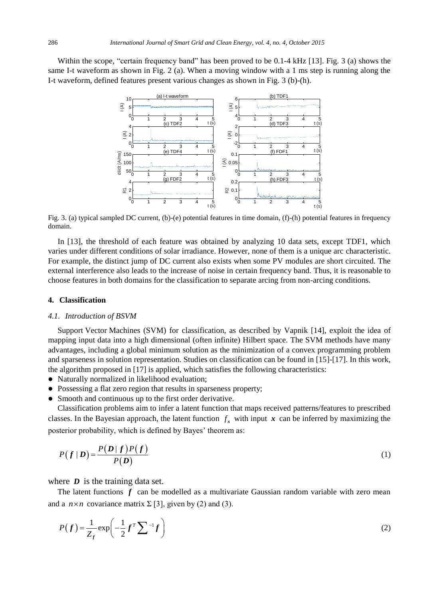Within the scope, "certain frequency band" has been proved to be 0.1-4 kHz [13]. Fig. 3 (a) shows the same I-t waveform as shown in Fig. 2 (a). When a moving window with a 1 ms step is running along the I-t waveform, defined features present various changes as shown in Fig. 3 (b)-(h).



Fig. 3. (a) typical sampled DC current, (b)-(e) potential features in time domain, (f)-(h) potential features in frequency domain.

In [13], the threshold of each feature was obtained by analyzing 10 data sets, except TDF1, which varies under different conditions of solar irradiance. However, none of them is a unique arc characteristic. For example, the distinct jump of DC current also exists when some PV modules are short circuited. The external interference also leads to the increase of noise in certain frequency band. Thus, it is reasonable to choose features in both domains for the classification to separate arcing from non-arcing conditions.

## **4. Classification**

#### *4.1. Introduction of BSVM*

Support Vector Machines (SVM) for classification, as described by Vapnik [14], exploit the idea of mapping input data into a high dimensional (often infinite) Hilbert space. The SVM methods have many advantages, including a global minimum solution as the minimization of a convex programming problem and sparseness in solution representation. Studies on classification can be found in [15]-[17]. In this work, the algorithm proposed in [17] is applied, which satisfies the following characteristics:

- Naturally normalized in likelihood evaluation;
- Possessing a flat zero region that results in sparseness property;
- Smooth and continuous up to the first order derivative.

Classification problems aim to infer a latent function that maps received patterns/features to prescribed classes. In the Bayesian approach, the latent function  $f_x$  with input  $x$  can be inferred by maximizing the posterior probability, which is defined by Bayes' theorem as:

$$
P(f \mid \boldsymbol{D}) = \frac{P(\boldsymbol{D} \mid f)P(f)}{P(\boldsymbol{D})}
$$
\n<sup>(1)</sup>

where *D* is the training data set.

The latent functions *f* can be modelled as a multivariate Gaussian random variable with zero mean and a  $n \times n$  covariance matrix  $\Sigma$  [3], given by (2) and (3).

$$
P(f) = \frac{1}{Z_f} \exp\left(-\frac{1}{2}f^T \sum^{-1} f\right)
$$
 (2)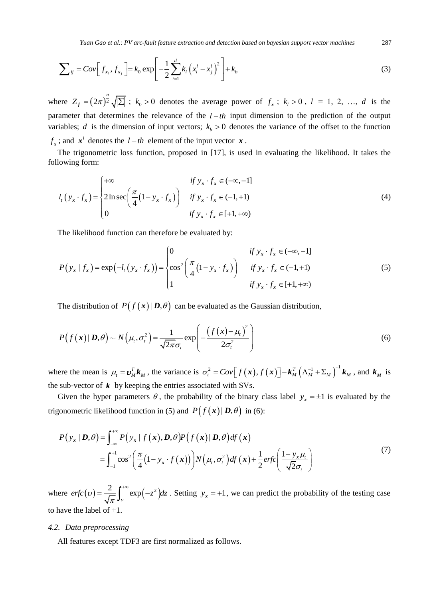*Yuan Gao et al.: PV arc-fault feature extraction and detection based on bayesian support vector machines* 287

$$
\sum_{ij} = Cov \Big[ f_{x_i}, f_{x_j} \Big] = k_0 \exp \Bigg[ -\frac{1}{2} \sum_{i=1}^d k_i \Big( x_i^l - x_j^l \Big)^2 \Bigg] + k_b \tag{3}
$$

where  $Z_f = (2\pi)^{\frac{n}{2}} \sqrt{|\Sigma|}$ ;  $k_0 > 0$  denotes the average power of  $f_x$ ;  $k_i > 0$ ,  $l = 1, 2, ..., d$  is the parameter that determines the relevance of the  $l-th$  input dimension to the prediction of the output variables; *d* is the dimension of input vectors;  $k<sub>b</sub> > 0$  denotes the variance of the offset to the function  $f_x$ ; and  $x^l$  denotes the  $l-th$  element of the input vector  $x$ .

The trigonometric loss function, proposed in [17], is used in evaluating the likelihood. It takes the following form:

$$
l_t(y_x \cdot f_x) = \begin{cases} +\infty & \text{if } y_x \cdot f_x \in (-\infty, -1] \\ 2\ln \sec\left(\frac{\pi}{4}(1 - y_x \cdot f_x)\right) & \text{if } y_x \cdot f_x \in (-1, +1) \\ 0 & \text{if } y_x \cdot f_x \in [+1, +\infty) \end{cases}
$$
(4)

The likelihood function can therefore be evaluated by:

$$
P(y_x | f_x) = \exp(-l_t (y_x \cdot f_x)) = \begin{cases} 0 & \text{if } y_x \cdot f_x \in (-\infty, -1] \\ \cos^2 \left( \frac{\pi}{4} (1 - y_x \cdot f_x) \right) & \text{if } y_x \cdot f_x \in (-1, +1) \\ 1 & \text{if } y_x \cdot f_x \in [+1, +\infty) \end{cases}
$$
(5)

The distribution of  $P(f(x)|D, \theta)$  can be evaluated as the Gaussian distribution,

$$
P(f(\mathbf{x})|\mathbf{D},\theta) \sim N(\mu_t, \sigma_t^2) = \frac{1}{\sqrt{2\pi}\sigma_t} \exp\left(-\frac{\left(f(\mathbf{x}) - \mu_t\right)^2}{2\sigma_t^2}\right)
$$
(6)

where the mean is  $\mu_t = \mathbf{v}_M^T \mathbf{k}_M$ , the variance is  $\sigma_t^2 = Cov[f(\mathbf{x}), f(\mathbf{x})] - \mathbf{k}_M^T (\Lambda_M^{-1} + \Sigma_M)^{-1} \mathbf{k}_M$ , and  $\mathbf{k}_M$  is the sub-vector of  $\boldsymbol{k}$  by keeping the entries associated with SVs.

Given the hyper parameters  $\theta$ , the probability of the binary class label  $y_x = \pm 1$  is evaluated by the trigonometric likelihood function in (5) and  $P(f(x)|D,\theta)$  in (6):

$$
P(y_x | D, \theta) = \int_{-\infty}^{+\infty} P(y_x | f(x), D, \theta) P(f(x) | D, \theta) df(x)
$$
  
= 
$$
\int_{-1}^{+1} \cos^2 \left( \frac{\pi}{4} (1 - y_x \cdot f(x)) \right) N(\mu, \sigma_t^2) df(x) + \frac{1}{2} erfc \left( \frac{1 - y_x \mu_t}{\sqrt{2} \sigma_t} \right)
$$
 (7)

where  $erfc(v) = \frac{2}{\sqrt{\pi}} \int_v^{+\infty} exp(-z^2) dz$ π  $=\frac{2}{\sqrt{\pi}}\int_{v}^{+\infty} \exp(-z^2) dz$ . Setting  $y_x = +1$ , we can predict the probability of the testing case to have the label of  $+1$ .

## *4.2. Data preprocessing*

All features except TDF3 are first normalized as follows.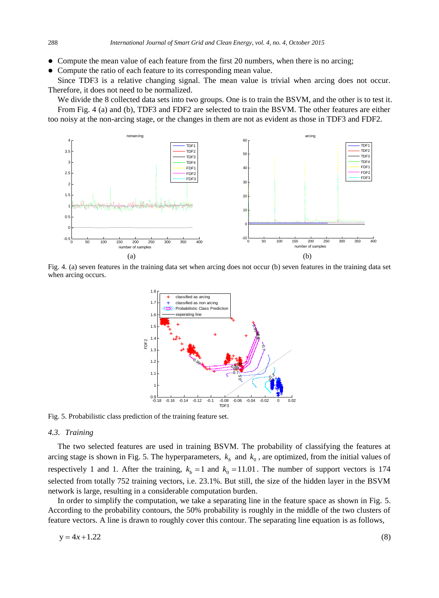- Compute the mean value of each feature from the first 20 numbers, when there is no arcing;
- Compute the ratio of each feature to its corresponding mean value.

Since TDF3 is a relative changing signal. The mean value is trivial when arcing does not occur. Therefore, it does not need to be normalized.

We divide the 8 collected data sets into two groups. One is to train the BSVM, and the other is to test it. From Fig. 4 (a) and (b), TDF3 and FDF2 are selected to train the BSVM. The other features are either too noisy at the non-arcing stage, or the changes in them are not as evident as those in TDF3 and FDF2.



Fig. 4. (a) seven features in the training data set when arcing does not occur (b) seven features in the training data set when arcing occurs.



Fig. 5. Probabilistic class prediction of the training feature set.

#### *4.3. Training*

The two selected features are used in training BSVM. The probability of classifying the features at arcing stage is shown in Fig. 5. The hyperparameters,  $k<sub>b</sub>$  and  $k<sub>0</sub>$ , are optimized, from the initial values of respectively 1 and 1. After the training,  $k_b = 1$  and  $k_0 = 11.01$ . The number of support vectors is 174 selected from totally 752 training vectors, i.e. 23.1%. But still, the size of the hidden layer in the BSVM network is large, resulting in a considerable computation burden.

In order to simplify the computation, we take a separating line in the feature space as shown in Fig. 5. According to the probability contours, the 50% probability is roughly in the middle of the two clusters of feature vectors. A line is drawn to roughly cover this contour. The separating line equation is as follows,

$$
y = 4x + 1.22\tag{8}
$$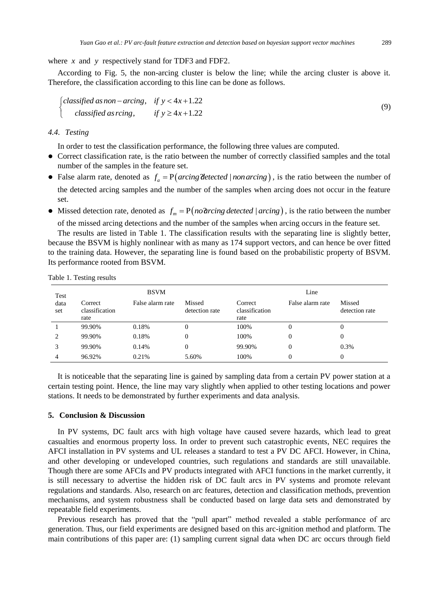where *x* and *y* respectively stand for TDF3 and FDF2.

According to Fig. 5, the non-arcing cluster is below the line; while the arcing cluster is above it. Therefore, the classification according to this line can be done as follows.

$$
\begin{cases}\n\text{classified as non} - \text{arcing}, & \text{if } y < 4x + 1.22 \\
\text{classified as reing}, & \text{if } y \ge 4x + 1.22\n\end{cases}\n\tag{9}
$$

# *4.4. Testing*

In order to test the classification performance, the following three values are computed.

- Correct classification rate, is the ratio between the number of correctly classified samples and the total number of the samples in the feature set.
- False alarm rate, denoted as  $f_a = P(arcing detected / non \,arcing)$ , is the ratio between the number of the detected arcing samples and the number of the samples when arcing does not occur in the feature set.
- Missed detection rate, denoted as  $f_m = P(no\hat{u}r\hat{v}q \hat{v}q \hat{v}q \hat{v}q \hat{v}q \hat{v}q \hat{v}q \hat{v}q \hat{v}q \hat{v}q \hat{v}q \hat{v}q \hat{v}q \hat{v}q \hat{v}q \hat{v}q \hat{v}q \hat{v}q \hat{v}q \hat{v}q \hat{v}q \hat{v}q \hat{v}q \hat{v}q \hat{v}q \hat{v}q \hat{v}q \hat{v}q \hat{v$ of the missed arcing detections and the number of the samples when arcing occurs in the feature set.

The results are listed in Table 1. The classification results with the separating line is slightly better, because the BSVM is highly nonlinear with as many as 174 support vectors, and can hence be over fitted to the training data. However, the separating line is found based on the probabilistic property of BSVM. Its performance rooted from BSVM.

Table 1. Testing results

| Test<br>data<br>set | <b>BSVM</b>                       |                  |                          | Line                              |                  |                          |
|---------------------|-----------------------------------|------------------|--------------------------|-----------------------------------|------------------|--------------------------|
|                     | Correct<br>classification<br>rate | False alarm rate | Missed<br>detection rate | Correct<br>classification<br>rate | False alarm rate | Missed<br>detection rate |
|                     | 99.90%                            | 0.18%            | 0                        | 100%                              | 0                | 0                        |
| 2                   | 99.90%                            | 0.18%            | $\overline{0}$           | 100%                              | 0                | 0                        |
| 3                   | 99.90%                            | 0.14%            | $\theta$                 | 99.90%                            | 0                | 0.3%                     |
| 4                   | 96.92%                            | 0.21%            | 5.60%                    | 100%                              | 0                | $\theta$                 |

It is noticeable that the separating line is gained by sampling data from a certain PV power station at a certain testing point. Hence, the line may vary slightly when applied to other testing locations and power stations. It needs to be demonstrated by further experiments and data analysis.

# **5. Conclusion & Discussion**

In PV systems, DC fault arcs with high voltage have caused severe hazards, which lead to great casualties and enormous property loss. In order to prevent such catastrophic events, NEC requires the AFCI installation in PV systems and UL releases a standard to test a PV DC AFCI. However, in China, and other developing or undeveloped countries, such regulations and standards are still unavailable. Though there are some AFCIs and PV products integrated with AFCI functions in the market currently, it is still necessary to advertise the hidden risk of DC fault arcs in PV systems and promote relevant regulations and standards. Also, research on arc features, detection and classification methods, prevention mechanisms, and system robustness shall be conducted based on large data sets and demonstrated by repeatable field experiments.

Previous research has proved that the "pull apart" method revealed a stable performance of arc generation. Thus, our field experiments are designed based on this arc-ignition method and platform. The main contributions of this paper are: (1) sampling current signal data when DC arc occurs through field